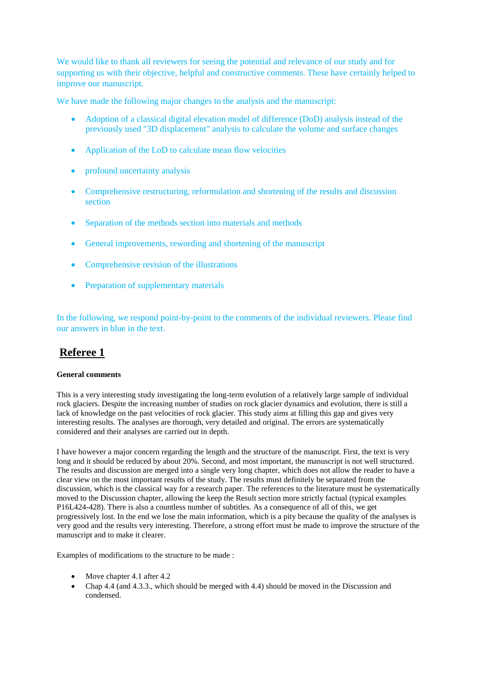We would like to thank all reviewers for seeing the potential and relevance of our study and for supporting us with their objective, helpful and constructive comments. These have certainly helped to improve our manuscript.

We have made the following major changes to the analysis and the manuscript:

- Adoption of a classical digital elevation model of difference (DoD) analysis instead of the previously used "3D displacement" analysis to calculate the volume and surface changes
- Application of the LoD to calculate mean flow velocities
- profound uncertainty analysis
- Comprehensive restructuring, reformulation and shortening of the results and discussion section
- Separation of the methods section into materials and methods
- General improvements, rewording and shortening of the manuscript
- Comprehensive revision of the illustrations
- Preparation of supplementary materials

In the following, we respond point-by-point to the comments of the individual reviewers. Please find our answers in blue in the text.

# **Referee 1**

# **General comments**

This is a very interesting study investigating the long-term evolution of a relatively large sample of individual rock glaciers. Despite the increasing number of studies on rock glacier dynamics and evolution, there is still a lack of knowledge on the past velocities of rock glacier. This study aims at filling this gap and gives very interesting results. The analyses are thorough, very detailed and original. The errors are systematically considered and their analyses are carried out in depth.

I have however a major concern regarding the length and the structure of the manuscript. First, the text is very long and it should be reduced by about 20%. Second, and most important, the manuscript is not well structured. The results and discussion are merged into a single very long chapter, which does not allow the reader to have a clear view on the most important results of the study. The results must definitely be separated from the discussion, which is the classical way for a research paper. The references to the literature must be systematically moved to the Discussion chapter, allowing the keep the Result section more strictly factual (typical examples P16L424-428). There is also a countless number of subtitles. As a consequence of all of this, we get progressively lost. In the end we lose the main information, which is a pity because the quality of the analyses is very good and the results very interesting. Therefore, a strong effort must be made to improve the structure of the manuscript and to make it clearer.

Examples of modifications to the structure to be made :

- Move chapter 4.1 after 4.2
- Chap 4.4 (and 4.3.3., which should be merged with 4.4) should be moved in the Discussion and condensed.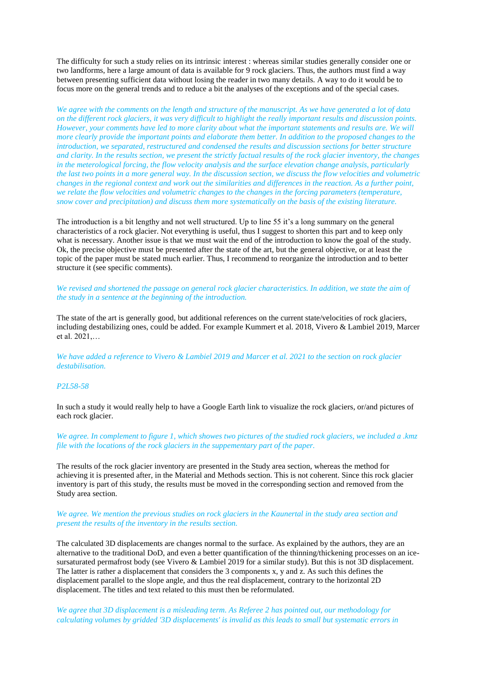The difficulty for such a study relies on its intrinsic interest : whereas similar studies generally consider one or two landforms, here a large amount of data is available for 9 rock glaciers. Thus, the authors must find a way between presenting sufficient data without losing the reader in two many details. A way to do it would be to focus more on the general trends and to reduce a bit the analyses of the exceptions and of the special cases.

*We agree with the comments on the length and structure of the manuscript. As we have generated a lot of data on the different rock glaciers, it was very difficult to highlight the really important results and discussion points. However, your comments have led to more clarity about what the important statements and results are. We will more clearly provide the important points and elaborate them better. In addition to the proposed changes to the introduction, we separated, restructured and condensed the results and discussion sections for better structure and clarity. In the results section, we present the strictly factual results of the rock glacier inventory, the changes in the meterological forcing, the flow velocity analysis and the surface elevation change analysis, particularly the last two points in a more general way. In the discussion section, we discuss the flow velocities and volumetric changes in the regional context and work out the similarities and differences in the reaction. As a further point, we relate the flow velocities and volumetric changes to the changes in the forcing parameters (temperature, snow cover and precipitation) and discuss them more systematically on the basis of the existing literature.* 

The introduction is a bit lengthy and not well structured. Up to line 55 it's a long summary on the general characteristics of a rock glacier. Not everything is useful, thus I suggest to shorten this part and to keep only what is necessary. Another issue is that we must wait the end of the introduction to know the goal of the study. Ok, the precise objective must be presented after the state of the art, but the general objective, or at least the topic of the paper must be stated much earlier. Thus, I recommend to reorganize the introduction and to better structure it (see specific comments).

*We revised and shortened the passage on general rock glacier characteristics. In addition, we state the aim of the study in a sentence at the beginning of the introduction.*

The state of the art is generally good, but additional references on the current state/velocities of rock glaciers, including destabilizing ones, could be added. For example Kummert et al. 2018, Vivero & Lambiel 2019, Marcer et al. 2021,…

*We have added a reference to Vivero & Lambiel 2019 and Marcer et al. 2021 to the section on rock glacier destabilisation.* 

### *P2L58-58*

In such a study it would really help to have a Google Earth link to visualize the rock glaciers, or/and pictures of each rock glacier.

*We agree. In complement to figure 1, which showes two pictures of the studied rock glaciers, we included a .kmz file with the locations of the rock glaciers in the suppementary part of the paper.*

The results of the rock glacier inventory are presented in the Study area section, whereas the method for achieving it is presented after, in the Material and Methods section. This is not coherent. Since this rock glacier inventory is part of this study, the results must be moved in the corresponding section and removed from the Study area section.

# *We agree. We mention the previous studies on rock glaciers in the Kaunertal in the study area section and present the results of the inventory in the results section.*

The calculated 3D displacements are changes normal to the surface. As explained by the authors, they are an alternative to the traditional DoD, and even a better quantification of the thinning/thickening processes on an icesursaturated permafrost body (see Vivero & Lambiel 2019 for a similar study). But this is not 3D displacement. The latter is rather a displacement that considers the 3 components x, y and z. As such this defines the displacement parallel to the slope angle, and thus the real displacement, contrary to the horizontal 2D displacement. The titles and text related to this must then be reformulated.

*We agree that 3D displacement is a misleading term. As Referee 2 has pointed out, our methodology for calculating volumes by gridded '3D displacements' is invalid as this leads to small but systematic errors in*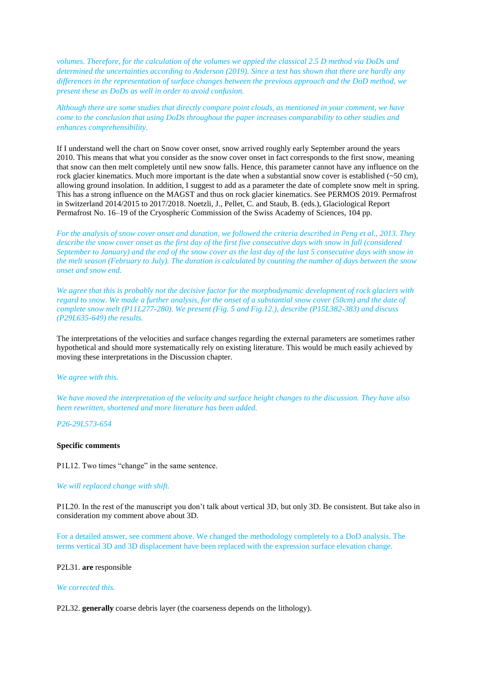*volumes. Therefore, for the calculation of the volumes we appied the classical 2.5 D method via DoDs and determined the uncertainties according to Anderson (2019). Since a test has shown that there are hardly any differences in the representation of surface changes between the previous approach and the DoD method, we present these as DoDs as well in order to avoid confusion.* 

*Although there are some studies that directly compare point clouds, as mentioned in your comment, we have come to the conclusion that using DoDs throughout the paper increases comparability to other studies and enhances comprehensibility.* 

If I understand well the chart on Snow cover onset, snow arrived roughly early September around the years 2010. This means that what you consider as the snow cover onset in fact corresponds to the first snow, meaning that snow can then melt completely until new snow falls. Hence, this parameter cannot have any influence on the rock glacier kinematics. Much more important is the date when a substantial snow cover is established  $(\sim 50 \text{ cm})$ , allowing ground insolation. In addition, I suggest to add as a parameter the date of complete snow melt in spring. This has a strong influence on the MAGST and thus on rock glacier kinematics. See PERMOS 2019. Permafrost in Switzerland 2014/2015 to 2017/2018. Noetzli, J., Pellet, C. and Staub, B. (eds.), Glaciological Report Permafrost No. 16–19 of the Cryospheric Commission of the Swiss Academy of Sciences, 104 pp.

*For the analysis of snow cover onset and duration, we followed the criteria described in Peng et al., 2013. They describe the snow cover onset as the first day of the first five consecutive days with snow in fall (considered September to January) and the end of the snow cover as the last day of the last 5 consecutive days with snow in the melt season (February to July). The duration is calculated by counting the number of days between the snow onset and snow end.*

*We agree that this is probably not the decisive factor for the morphodynamic development of rock glaciers with regard to snow. We made a further analysis, for the onset of a substantial snow cover (50cm) and the date of complete snow melt (P11L277-280). We present (Fig. 5 and Fig.12.), describe (P15L382-383) and discuss (P29L635-649) the results.* 

The interpretations of the velocities and surface changes regarding the external parameters are sometimes rather hypothetical and should more systematically rely on existing literature. This would be much easily achieved by moving these interpretations in the Discussion chapter.

### *We agree with this.*

*We have moved the interpretation of the velocity and surface height changes to the discussion. They have also been rewritten, shortened and more literature has been added.*

*P26-29L573-654*

### **Specific comments**

P1L12. Two times "change" in the same sentence.

# *We will replaced change with shift.*

P1L20. In the rest of the manuscript you don't talk about vertical 3D, but only 3D. Be consistent. But take also in consideration my comment above about 3D.

For a detailed answer, see comment above. We changed the methodology completely to a DoD analysis. The terms vertical 3D and 3D displacement have been replaced with the expression surface elevation change.

### P2L31. **are** responsible

### *We corrected this.*

P2L32. **generally** coarse debris layer (the coarseness depends on the lithology).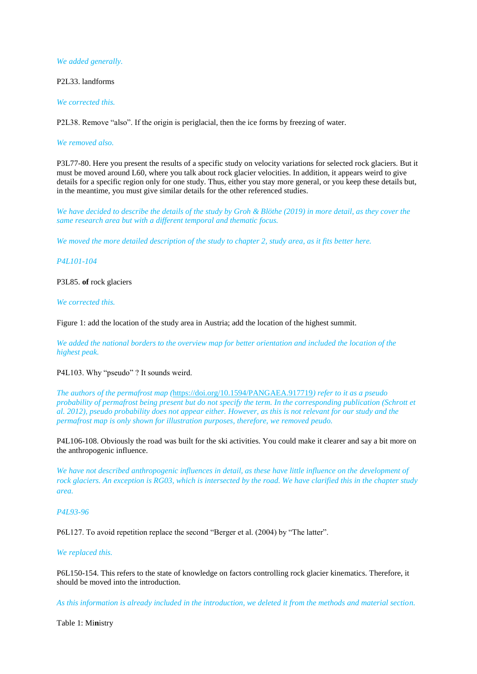# *We added generally.*

P2L33. landforms

*We corrected this.*

P2L38. Remove "also". If the origin is periglacial, then the ice forms by freezing of water.

### *We removed also.*

P3L77-80. Here you present the results of a specific study on velocity variations for selected rock glaciers. But it must be moved around L60, where you talk about rock glacier velocities. In addition, it appears weird to give details for a specific region only for one study. Thus, either you stay more general, or you keep these details but, in the meantime, you must give similar details for the other referenced studies.

*We have decided to describe the details of the study by Groh & Blöthe (2019) in more detail, as they cover the same research area but with a different temporal and thematic focus.* 

*We moved the more detailed description of the study to chapter 2, study area, as it fits better here.*

# *P4L101-104*

# P3L85. **of** rock glaciers

# *We corrected this.*

Figure 1: add the location of the study area in Austria; add the location of the highest summit.

*We added the national borders to the overview map for better orientation and included the location of the highest peak.* 

# P4L103. Why "pseudo" ? It sounds weird.

*The authors of the permafrost map (*<https://doi.org/10.1594/PANGAEA.917719>*) refer to it as a pseudo probability of permafrost being present but do not specify the term. In the corresponding publication (Schrott et al. 2012), pseudo probability does not appear either. However, as this is not relevant for our study and the permafrost map is only shown for illustration purposes, therefore, we removed peudo.* 

P4L106-108. Obviously the road was built for the ski activities. You could make it clearer and say a bit more on the anthropogenic influence.

*We have not described anthropogenic influences in detail, as these have little influence on the development of rock glaciers. An exception is RG03, which is intersected by the road. We have clarified this in the chapter study area.* 

# *P4L93-96*

P6L127. To avoid repetition replace the second "Berger et al. (2004) by "The latter".

# *We replaced this.*

P6L150-154. This refers to the state of knowledge on factors controlling rock glacier kinematics. Therefore, it should be moved into the introduction.

*As this information is already included in the introduction, we deleted it from the methods and material section.*

Table 1: Mi**n**istry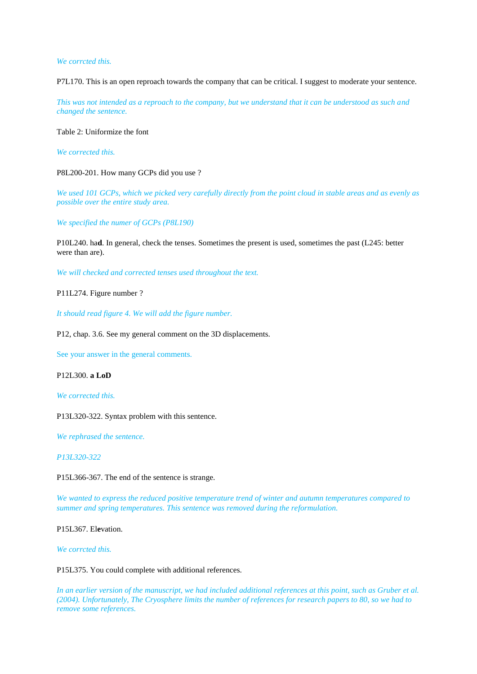*We corrcted this.*

P7L170. This is an open reproach towards the company that can be critical. I suggest to moderate your sentence.

*This was not intended as a reproach to the company, but we understand that it can be understood as such and changed the sentence.*

Table 2: Uniformize the font

*We corrected this.*

P8L200-201. How many GCPs did you use ?

*We used 101 GCPs, which we picked very carefully directly from the point cloud in stable areas and as evenly as possible over the entire study area.*

*We specified the numer of GCPs (P8L190)*

P10L240. ha**d**. In general, check the tenses. Sometimes the present is used, sometimes the past (L245: better were than are).

*We will checked and corrected tenses used throughout the text.*

P11L274. Figure number ?

*It should read figure 4. We will add the figure number.*

P12, chap. 3.6. See my general comment on the 3D displacements.

See your answer in the general comments.

P12L300. **a LoD**

*We corrected this.*

P13L320-322. Syntax problem with this sentence.

*We rephrased the sentence.* 

*P13L320-322*

P15L366-367. The end of the sentence is strange.

*We wanted to express the reduced positive temperature trend of winter and autumn temperatures compared to summer and spring temperatures. This sentence was removed during the reformulation.*

P15L367. El**e**vation.

*We corrcted this.*

P15L375. You could complete with additional references.

*In an earlier version of the manuscript, we had included additional references at this point, such as Gruber et al. (2004). Unfortunately, The Cryosphere limits the number of references for research papers to 80, so we had to remove some references.*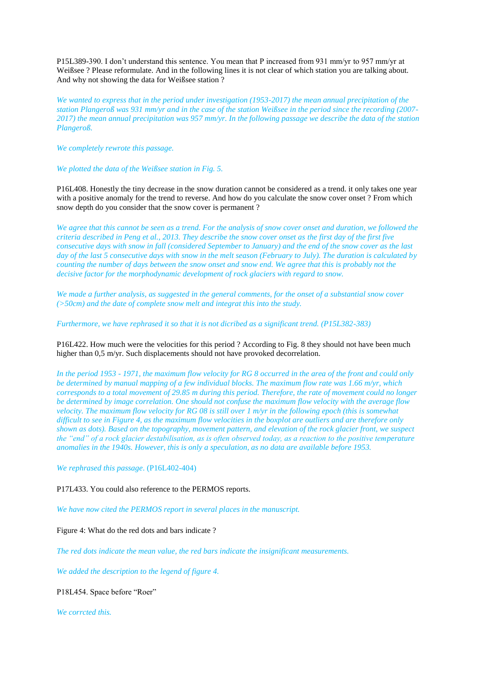P15L389-390. I don't understand this sentence. You mean that P increased from 931 mm/yr to 957 mm/yr at Weißsee ? Please reformulate. And in the following lines it is not clear of which station you are talking about. And why not showing the data for Weißsee station ?

*We wanted to express that in the period under investigation (1953-2017) the mean annual precipitation of the station Plangeroß was 931 mm/yr and in the case of the station Weißsee in the period since the recording (2007- 2017) the mean annual precipitation was 957 mm/yr. In the following passage we describe the data of the station Plangeroß.* 

*We completely rewrote this passage.* 

*We plotted the data of the Weißsee station in Fig. 5.*

P16L408. Honestly the tiny decrease in the snow duration cannot be considered as a trend. it only takes one year with a positive anomaly for the trend to reverse. And how do you calculate the snow cover onset ? From which snow depth do you consider that the snow cover is permanent ?

*We agree that this cannot be seen as a trend. For the analysis of snow cover onset and duration, we followed the criteria described in Peng et al., 2013. They describe the snow cover onset as the first day of the first five consecutive days with snow in fall (considered September to January) and the end of the snow cover as the last day of the last 5 consecutive days with snow in the melt season (February to July). The duration is calculated by counting the number of days between the snow onset and snow end. We agree that this is probably not the decisive factor for the morphodynamic development of rock glaciers with regard to snow.* 

*We made a further analysis, as suggested in the general comments, for the onset of a substantial snow cover (>50cm) and the date of complete snow melt and integrat this into the study.*

*Furthermore, we have rephrased it so that it is not dicribed as a significant trend. (P15L382-383)*

P16L422. How much were the velocities for this period ? According to Fig. 8 they should not have been much higher than 0,5 m/yr. Such displacements should not have provoked decorrelation.

*In the period 1953 - 1971, the maximum flow velocity for RG 8 occurred in the area of the front and could only be determined by manual mapping of a few individual blocks. The maximum flow rate was 1.66 m/yr, which corresponds to a total movement of 29.85 m during this period. Therefore, the rate of movement could no longer be determined by image correlation. One should not confuse the maximum flow velocity with the average flow velocity. The maximum flow velocity for RG 08 is still over 1 m/yr in the following epoch (this is somewhat difficult to see in Figure 4, as the maximum flow velocities in the boxplot are outliers and are therefore only shown as dots). Based on the topography, movement pattern, and elevation of the rock glacier front, we suspect the "end" of a rock glacier destabilisation, as is often observed today, as a reaction to the positive temperature anomalies in the 1940s. However, this is only a speculation, as no data are available before 1953.* 

*We rephrased this passage*. (P16L402-404)

P17L433. You could also reference to the PERMOS reports.

*We have now cited the PERMOS report in several places in the manuscript.* 

Figure 4: What do the red dots and bars indicate ?

*The red dots indicate the mean value, the red bars indicate the insignificant measurements.* 

*We added the description to the legend of figure 4.* 

P18L454. Space before "Roer"

*We corrcted this.*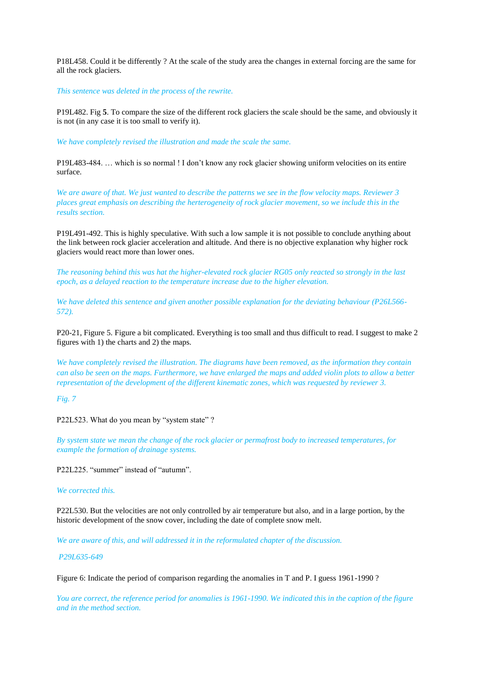P18L458. Could it be differently ? At the scale of the study area the changes in external forcing are the same for all the rock glaciers.

*This sentence was deleted in the process of the rewrite.*

P19L482. Fig **5**. To compare the size of the different rock glaciers the scale should be the same, and obviously it is not (in any case it is too small to verify it).

*We have completely revised the illustration and made the scale the same.* 

P19L483-484. … which is so normal ! I don't know any rock glacier showing uniform velocities on its entire surface.

*We are aware of that. We just wanted to describe the patterns we see in the flow velocity maps. Reviewer 3 places great emphasis on describing the herterogeneity of rock glacier movement, so we include this in the results section.* 

P19L491-492. This is highly speculative. With such a low sample it is not possible to conclude anything about the link between rock glacier acceleration and altitude. And there is no objective explanation why higher rock glaciers would react more than lower ones.

*The reasoning behind this was hat the higher-elevated rock glacier RG05 only reacted so strongly in the last epoch, as a delayed reaction to the temperature increase due to the higher elevation.* 

*We have deleted this sentence and given another possible explanation for the deviating behaviour (P26L566- 572).*

P20-21, Figure 5. Figure a bit complicated. Everything is too small and thus difficult to read. I suggest to make 2 figures with 1) the charts and 2) the maps.

*We have completely revised the illustration. The diagrams have been removed, as the information they contain can also be seen on the maps. Furthermore, we have enlarged the maps and added violin plots to allow a better representation of the development of the different kinematic zones, which was requested by reviewer 3.* 

*Fig. 7*

P22L523. What do you mean by "system state"?

*By system state we mean the change of the rock glacier or permafrost body to increased temperatures, for example the formation of drainage systems.* 

P22L225. "summer" instead of "autumn".

# *We corrected this.*

P22L530. But the velocities are not only controlled by air temperature but also, and in a large portion, by the historic development of the snow cover, including the date of complete snow melt.

*We are aware of this, and will addressed it in the reformulated chapter of the discussion.*

# *P29L635-649*

Figure 6: Indicate the period of comparison regarding the anomalies in T and P. I guess 1961-1990 ?

*You are correct, the reference period for anomalies is 1961-1990. We indicated this in the caption of the figure and in the method section.*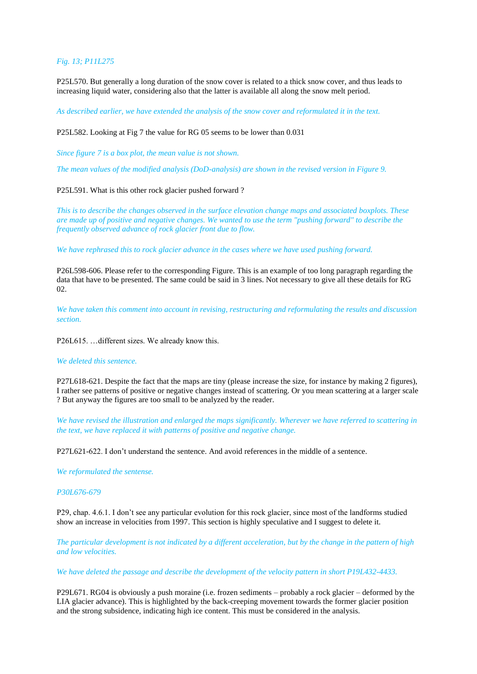# *Fig. 13; P11L275*

P25L570. But generally a long duration of the snow cover is related to a thick snow cover, and thus leads to increasing liquid water, considering also that the latter is available all along the snow melt period.

*As described earlier, we have extended the analysis of the snow cover and reformulated it in the text.*

# P25L582. Looking at Fig 7 the value for RG 05 seems to be lower than 0.031

*Since figure 7 is a box plot, the mean value is not shown.*

*The mean values of the modified analysis (DoD-analysis) are shown in the revised version in Figure 9.* 

# P25L591. What is this other rock glacier pushed forward ?

*This is to describe the changes observed in the surface elevation change maps and associated boxplots. These are made up of positive and negative changes. We wanted to use the term "pushing forward" to describe the frequently observed advance of rock glacier front due to flow.* 

*We have rephrased this to rock glacier advance in the cases where we have used pushing forward.* 

P26L598-606. Please refer to the corresponding Figure. This is an example of too long paragraph regarding the data that have to be presented. The same could be said in 3 lines. Not necessary to give all these details for RG 02.

*We have taken this comment into account in revising, restructuring and reformulating the results and discussion section.* 

P26L615. …different sizes. We already know this.

### *We deleted this sentence.*

P27L618-621. Despite the fact that the maps are tiny (please increase the size, for instance by making 2 figures), I rather see patterns of positive or negative changes instead of scattering. Or you mean scattering at a larger scale ? But anyway the figures are too small to be analyzed by the reader.

*We have revised the illustration and enlarged the maps significantly. Wherever we have referred to scattering in the text, we have replaced it with patterns of positive and negative change.* 

P27L621-622. I don't understand the sentence. And avoid references in the middle of a sentence.

*We reformulated the sentense.* 

### *P30L676-679*

P29, chap. 4.6.1. I don't see any particular evolution for this rock glacier, since most of the landforms studied show an increase in velocities from 1997. This section is highly speculative and I suggest to delete it.

*The particular development is not indicated by a different acceleration, but by the change in the pattern of high and low velocities.* 

### *We have deleted the passage and describe the development of the velocity pattern in short P19L432-4433.*

P29L671. RG04 is obviously a push moraine (i.e. frozen sediments – probably a rock glacier – deformed by the LIA glacier advance). This is highlighted by the back-creeping movement towards the former glacier position and the strong subsidence, indicating high ice content. This must be considered in the analysis.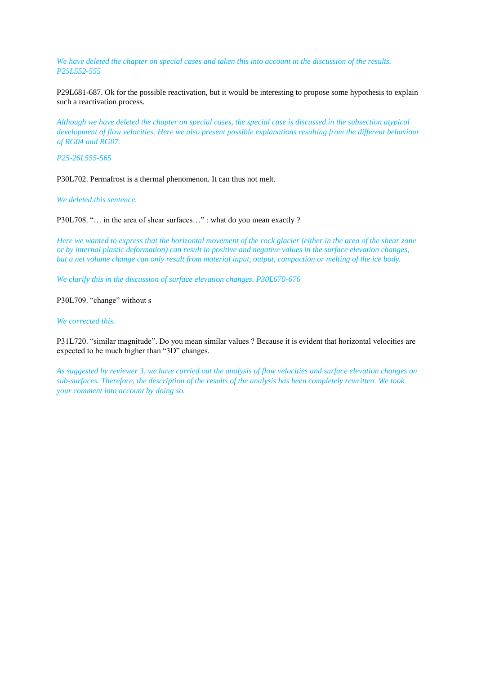*We have deleted the chapter on special cases and taken this into account in the discussion of the results. P25L552-555*

P29L681-687. Ok for the possible reactivation, but it would be interesting to propose some hypothesis to explain such a reactivation process.

*Although we have deleted the chapter on special cases, the special case is discussed in the subsection atypical development of flow velocities. Here we also present possible explanations resulting from the different behaviour of RG04 and RG07.* 

*P25-26L555-565*

P30L702. Permafrost is a thermal phenomenon. It can thus not melt.

*We deleted this sentence.* 

P30L708. "... in the area of shear surfaces..." : what do you mean exactly ?

*Here we wanted to express that the horizontal movement of the rock glacier (either in the area of the shear zone or by internal plastic deformation) can result in positive and negative values in the surface elevation changes, but a net volume change can only result from material input, output, compaction or melting of the ice body.* 

*We clarify this in the discussion of surface elevation changes. P30L670-676*

P30L709. "change" without s

# *We corrected this.*

P31L720. "similar magnitude". Do you mean similar values ? Because it is evident that horizontal velocities are expected to be much higher than "3D" changes.

*As suggested by reviewer 3, we have carried out the analysis of flow velocities and surface elevation changes on sub-surfaces. Therefore, the description of the results of the analysis has been completely rewritten. We took your comment into account by doing so.*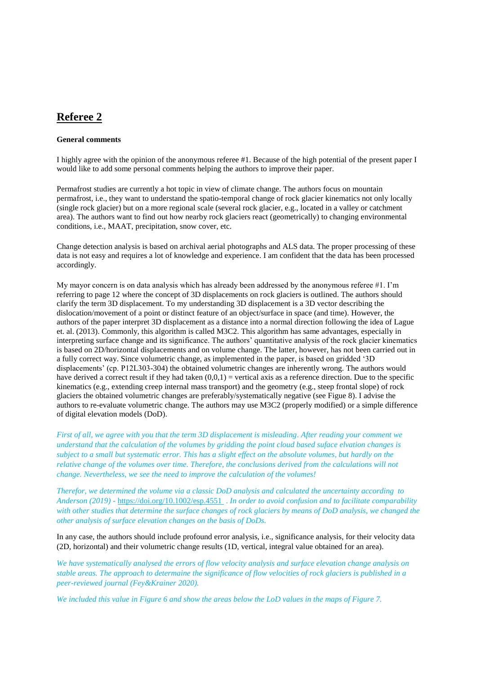# **Referee 2**

# **General comments**

I highly agree with the opinion of the anonymous referee #1. Because of the high potential of the present paper I would like to add some personal comments helping the authors to improve their paper.

Permafrost studies are currently a hot topic in view of climate change. The authors focus on mountain permafrost, i.e., they want to understand the spatio-temporal change of rock glacier kinematics not only locally (single rock glacier) but on a more regional scale (several rock glacier, e.g., located in a valley or catchment area). The authors want to find out how nearby rock glaciers react (geometrically) to changing environmental conditions, i.e., MAAT, precipitation, snow cover, etc.

Change detection analysis is based on archival aerial photographs and ALS data. The proper processing of these data is not easy and requires a lot of knowledge and experience. I am confident that the data has been processed accordingly.

My mayor concern is on data analysis which has already been addressed by the anonymous referee #1. I'm referring to page 12 where the concept of 3D displacements on rock glaciers is outlined. The authors should clarify the term 3D displacement. To my understanding 3D displacement is a 3D vector describing the dislocation/movement of a point or distinct feature of an object/surface in space (and time). However, the authors of the paper interpret 3D displacement as a distance into a normal direction following the idea of Lague et. al. (2013). Commonly, this algorithm is called M3C2. This algorithm has same advantages, especially in interpreting surface change and its significance. The authors' quantitative analysis of the rock glacier kinematics is based on 2D/horizontal displacements and on volume change. The latter, however, has not been carried out in a fully correct way. Since volumetric change, as implemented in the paper, is based on gridded '3D displacements' (cp. P12L303-304) the obtained volumetric changes are inherently wrong. The authors would have derived a correct result if they had taken  $(0,0,1)$  = vertical axis as a reference direction. Due to the specific kinematics (e.g., extending creep internal mass transport) and the geometry (e.g., steep frontal slope) of rock glaciers the obtained volumetric changes are preferably/systematically negative (see Figue 8). I advise the authors to re-evaluate volumetric change. The authors may use M3C2 (properly modified) or a simple difference of digital elevation models (DoD).

*First of all, we agree with you that the term 3D displacement is misleading. After reading your comment we understand that the calculation of the volumes by gridding the point cloud based suface elvation changes is subject to a small but systematic error. This has a slight effect on the absolute volumes, but hardly on the relative change of the volumes over time. Therefore, the conclusions derived from the calculations will not change. Nevertheless, we see the need to improve the calculation of the volumes!* 

*Therefor, we determined the volume via a classic DoD analysis and calculated the uncertainty according to Anderson (2019) -* <https://doi.org/10.1002/esp.4551>. *In order to avoid confusion and to facilitate comparability with other studies that determine the surface changes of rock glaciers by means of DoD analysis, we changed the other analysis of surface elevation changes on the basis of DoDs.* 

In any case, the authors should include profound error analysis, i.e., significance analysis, for their velocity data (2D, horizontal) and their volumetric change results (1D, vertical, integral value obtained for an area).

*We have systematically analysed the errors of flow velocity analysis and surface elevation change analysis on stable areas. The approach to determaine the significance of flow velocities of rock glaciers is published in a peer-reviewed journal (Fey&Krainer 2020).* 

*We included this value in Figure 6 and show the areas below the LoD values in the maps of Figure 7.*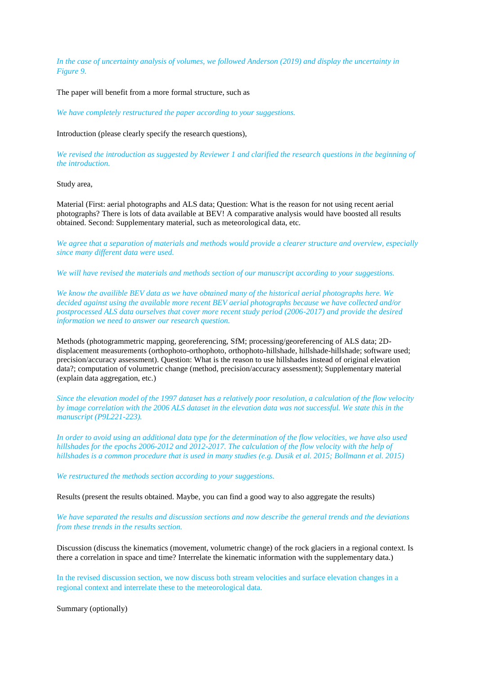*In the case of uncertainty analysis of volumes, we followed Anderson (2019) and display the uncertainty in Figure 9.*

The paper will benefit from a more formal structure, such as

*We have completely restructured the paper according to your suggestions.* 

Introduction (please clearly specify the research questions),

*We revised the introduction as suggested by Reviewer 1 and clarified the research questions in the beginning of the introduction.* 

Study area,

Material (First: aerial photographs and ALS data; Question: What is the reason for not using recent aerial photographs? There is lots of data available at BEV! A comparative analysis would have boosted all results obtained. Second: Supplementary material, such as meteorological data, etc.

*We agree that a separation of materials and methods would provide a clearer structure and overview, especially since many different data were used.* 

*We will have revised the materials and methods section of our manuscript according to your suggestions.*

*We know the availible BEV data as we have obtained many of the historical aerial photographs here. We decided against using the available more recent BEV aerial photographs because we have collected and/or postprocessed ALS data ourselves that cover more recent study period (2006-2017) and provide the desired information we need to answer our research question.*

Methods (photogrammetric mapping, georeferencing, SfM; processing/georeferencing of ALS data; 2Ddisplacement measurements (orthophoto-orthophoto, orthophoto-hillshade, hillshade-hillshade; software used; precision/accuracy assessment). Question: What is the reason to use hillshades instead of original elevation data?; computation of volumetric change (method, precision/accuracy assessment); Supplementary material (explain data aggregation, etc.)

*Since the elevation model of the 1997 dataset has a relatively poor resolution, a calculation of the flow velocity by image correlation with the 2006 ALS dataset in the elevation data was not successful. We state this in the manuscript (P9L221-223).* 

*In order to avoid using an additional data type for the determination of the flow velocities, we have also used hillshades for the epochs 2006-2012 and 2012-2017. The calculation of the flow velocity with the help of hillshades is a common procedure that is used in many studies (e.g. Dusik et al. 2015; Bollmann et al. 2015)*

*We restructured the methods section according to your suggestions.* 

Results (present the results obtained. Maybe, you can find a good way to also aggregate the results)

*We have separated the results and discussion sections and now describe the general trends and the deviations from these trends in the results section.*

Discussion (discuss the kinematics (movement, volumetric change) of the rock glaciers in a regional context. Is there a correlation in space and time? Interrelate the kinematic information with the supplementary data.)

In the revised discussion section, we now discuss both stream velocities and surface elevation changes in a regional context and interrelate these to the meteorological data.

Summary (optionally)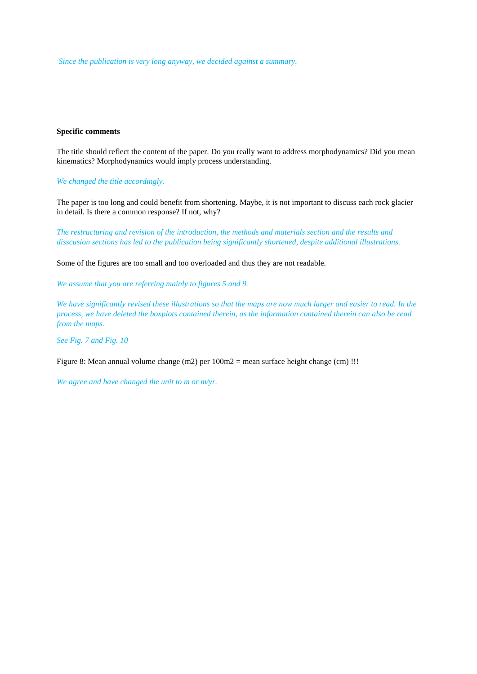*Since the publication is very long anyway, we decided against a summary.*

### **Specific comments**

The title should reflect the content of the paper. Do you really want to address morphodynamics? Did you mean kinematics? Morphodynamics would imply process understanding.

*We changed the title accordingly.*

The paper is too long and could benefit from shortening. Maybe, it is not important to discuss each rock glacier in detail. Is there a common response? If not, why?

*The restructuring and revision of the introduction, the methods and materials section and the results and disscusion sections has led to the publication being significantly shortened, despite additional illustrations.* 

Some of the figures are too small and too overloaded and thus they are not readable.

*We assume that you are referring mainly to figures 5 and 9.* 

*We have significantly revised these illustrations so that the maps are now much larger and easier to read. In the process, we have deleted the boxplots contained therein, as the information contained therein can also be read from the maps.* 

*See Fig. 7 and Fig. 10*

Figure 8: Mean annual volume change (m2) per 100m2 = mean surface height change (cm) !!!

*We agree and have changed the unit to m or m/yr.*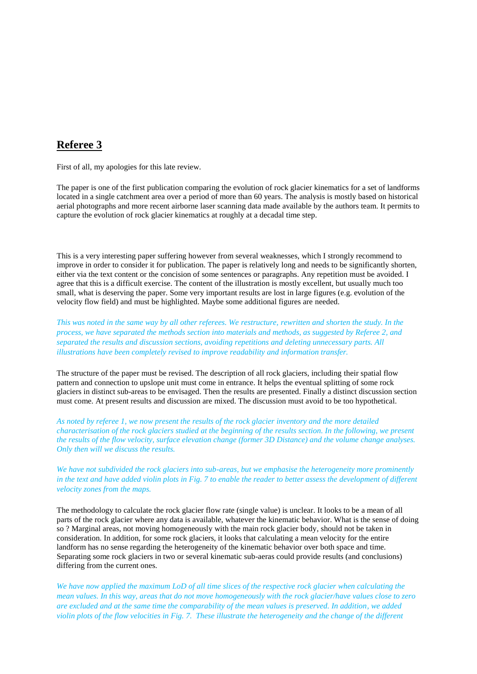# **Referee 3**

First of all, my apologies for this late review.

The paper is one of the first publication comparing the evolution of rock glacier kinematics for a set of landforms located in a single catchment area over a period of more than 60 years. The analysis is mostly based on historical aerial photographs and more recent airborne laser scanning data made available by the authors team. It permits to capture the evolution of rock glacier kinematics at roughly at a decadal time step.

This is a very interesting paper suffering however from several weaknesses, which I strongly recommend to improve in order to consider it for publication. The paper is relatively long and needs to be significantly shorten, either via the text content or the concision of some sentences or paragraphs. Any repetition must be avoided. I agree that this is a difficult exercise. The content of the illustration is mostly excellent, but usually much too small, what is deserving the paper. Some very important results are lost in large figures (e.g. evolution of the velocity flow field) and must be highlighted. Maybe some additional figures are needed.

*This was noted in the same way by all other referees. We restructure, rewritten and shorten the study. In the process, we have separated the methods section into materials and methods, as suggested by Referee 2, and separated the results and discussion sections, avoiding repetitions and deleting unnecessary parts. All illustrations have been completely revised to improve readability and information transfer.*

The structure of the paper must be revised. The description of all rock glaciers, including their spatial flow pattern and connection to upslope unit must come in entrance. It helps the eventual splitting of some rock glaciers in distinct sub-areas to be envisaged. Then the results are presented. Finally a distinct discussion section must come. At present results and discussion are mixed. The discussion must avoid to be too hypothetical.

*As noted by referee 1, we now present the results of the rock glacier inventory and the more detailed characterisation of the rock glaciers studied at the beginning of the results section. In the following, we present the results of the flow velocity, surface elevation change (former 3D Distance) and the volume change analyses. Only then will we discuss the results.*

*We have not subdivided the rock glaciers into sub-areas, but we emphasise the heterogeneity more prominently in the text and have added violin plots in Fig. 7 to enable the reader to better assess the development of different velocity zones from the maps.* 

The methodology to calculate the rock glacier flow rate (single value) is unclear. It looks to be a mean of all parts of the rock glacier where any data is available, whatever the kinematic behavior. What is the sense of doing so ? Marginal areas, not moving homogeneously with the main rock glacier body, should not be taken in consideration. In addition, for some rock glaciers, it looks that calculating a mean velocity for the entire landform has no sense regarding the heterogeneity of the kinematic behavior over both space and time. Separating some rock glaciers in two or several kinematic sub-aeras could provide results (and conclusions) differing from the current ones.

*We have now applied the maximum LoD of all time slices of the respective rock glacier when calculating the mean values. In this way, areas that do not move homogeneously with the rock glacier/have values close to zero are excluded and at the same time the comparability of the mean values is preserved. In addition, we added violin plots of the flow velocities in Fig. 7. These illustrate the heterogeneity and the change of the different*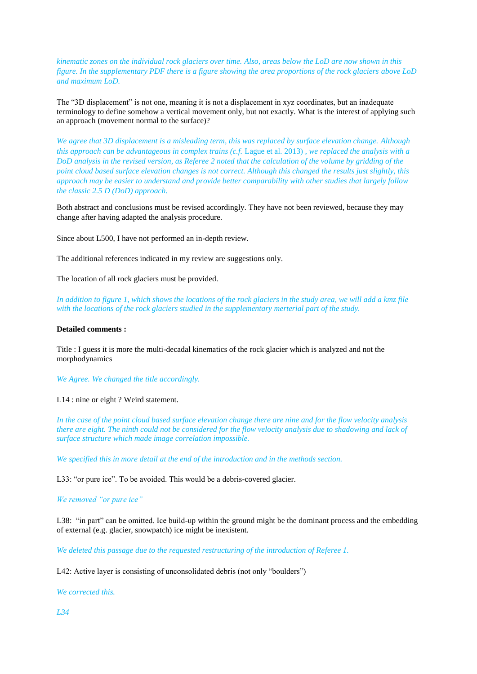*kinematic zones on the individual rock glaciers over time. Also, areas below the LoD are now shown in this figure. In the supplementary PDF there is a figure showing the area proportions of the rock glaciers above LoD and maximum LoD.* 

The "3D displacement" is not one, meaning it is not a displacement in xyz coordinates, but an inadequate terminology to define somehow a vertical movement only, but not exactly. What is the interest of applying such an approach (movement normal to the surface)?

*We agree that 3D displacement is a misleading term, this was replaced by surface elevation change. Although this approach can be advantageous in complex trains (c.f.* Lague et al. 2013) *, we replaced the analysis with a DoD analysis in the revised version, as Referee 2 noted that the calculation of the volume by gridding of the point cloud based surface elevation changes is not correct. Although this changed the results just slightly, this approach may be easier to understand and provide better comparability with other studies that largely follow the classic 2.5 D (DoD) approach.* 

Both abstract and conclusions must be revised accordingly. They have not been reviewed, because they may change after having adapted the analysis procedure.

Since about L500, I have not performed an in-depth review.

The additional references indicated in my review are suggestions only.

The location of all rock glaciers must be provided.

*In addition to figure 1, which shows the locations of the rock glaciers in the study area, we will add a kmz file with the locations of the rock glaciers studied in the supplementary merterial part of the study.*

# **Detailed comments :**

Title : I guess it is more the multi-decadal kinematics of the rock glacier which is analyzed and not the morphodynamics

*We Agree. We changed the title accordingly.*

### L14 : nine or eight ? Weird statement.

*In the case of the point cloud based surface elevation change there are nine and for the flow velocity analysis there are eight. The ninth could not be considered for the flow velocity analysis due to shadowing and lack of surface structure which made image correlation impossible.* 

*We specified this in more detail at the end of the introduction and in the methods section.*

L33: "or pure ice". To be avoided. This would be a debris-covered glacier.

# *We removed "or pure ice"*

L38: "in part" can be omitted. Ice build-up within the ground might be the dominant process and the embedding of external (e.g. glacier, snowpatch) ice might be inexistent.

*We deleted this passage due to the requested restructuring of the introduction of Referee 1.* 

L42: Active layer is consisting of unconsolidated debris (not only "boulders")

*We corrected this.* 

*L34*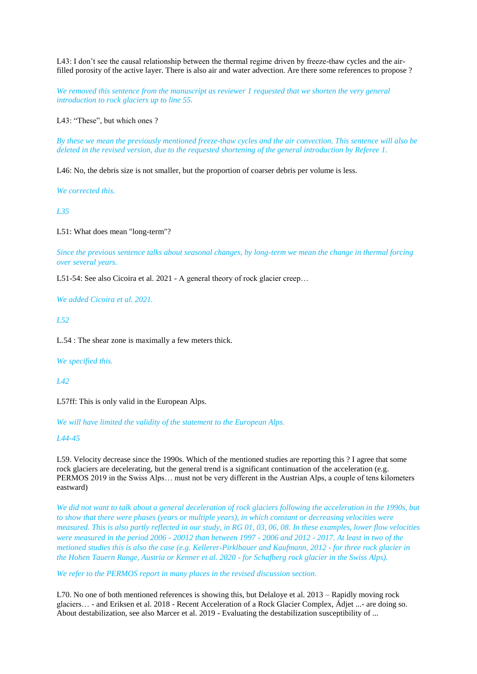L43: I don't see the causal relationship between the thermal regime driven by freeze-thaw cycles and the airfilled porosity of the active layer. There is also air and water advection. Are there some references to propose ?

*We removed this sentence from the manuscript as reviewer 1 requested that we shorten the very general introduction to rock glaciers up to line 55.*

L43: "These", but which ones ?

*By these we mean the previously mentioned freeze-thaw cycles and the air convection. This sentence will also be deleted in the revised version, due to the requested shortening of the general introduction by Referee 1.*

L46: No, the debris size is not smaller, but the proportion of coarser debris per volume is less.

*We corrected this.* 

*L35*

L51: What does mean "long-term"?

*Since the previous sentence talks about seasonal changes, by long-term we mean the change in thermal forcing over several years.* 

L51-54: See also Cicoira et al. 2021 - A general theory of rock glacier creep…

*We added Cicoira et al. 2021.*

*L52*

L.54 : The shear zone is maximally a few meters thick.

*We specified this.* 

*L42*

L57ff: This is only valid in the European Alps.

*We will have limited the validity of the statement to the European Alps.* 

*L44-45*

L59. Velocity decrease since the 1990s. Which of the mentioned studies are reporting this ? I agree that some rock glaciers are decelerating, but the general trend is a significant continuation of the acceleration (e.g. PERMOS 2019 in the Swiss Alps… must not be very different in the Austrian Alps, a couple of tens kilometers eastward)

*We did not want to talk about a general deceleration of rock glaciers following the acceleration in the 1990s, but to show that there were phases (years or multiple years), in which constant or decreasing velocities were measured. This is also partly reflected in our study, in RG 01, 03, 06, 08. In these examples, lower flow velocities were measured in the period 2006 - 20012 than between 1997 - 2006 and 2012 - 2017. At least in two of the metioned studies this is also the case (e.g. Kellerer-Pirklbauer and Kaufmann, 2012 - for three rock glacier in the Hohen Tauern Range, Austria or Kenner et al. 2020 - for Schafberg rock glacier in the Swiss Alps).* 

*We refer to the PERMOS report in many places in the revised discussion section.* 

L70. No one of both mentioned references is showing this, but Delaloye et al. 2013 – Rapidly moving rock glaciers… - and Eriksen et al. 2018 - Recent Acceleration of a Rock Glacier Complex, Ádjet ...- are doing so. About destabilization, see also Marcer et al. 2019 - Evaluating the destabilization susceptibility of ...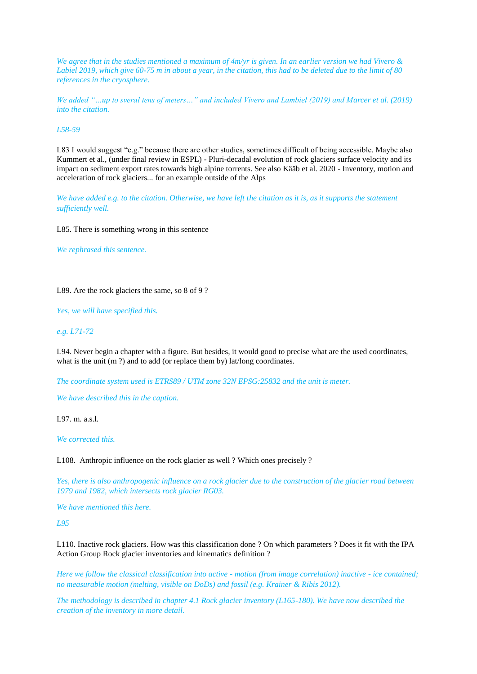*We agree that in the studies mentioned a maximum of 4m/yr is given. In an earlier version we had Vivero & Labiel 2019, which give 60-75 m in about a year, in the citation, this had to be deleted due to the limit of 80 references in the cryosphere.*

*We added "…up to sveral tens of meters…" and included Vivero and Lambiel (2019) and Marcer et al. (2019) into the citation.*

### *L58-59*

L83 I would suggest "e.g." because there are other studies, sometimes difficult of being accessible. Maybe also Kummert et al., (under final review in ESPL) - Pluri-decadal evolution of rock glaciers surface velocity and its impact on sediment export rates towards high alpine torrents. See also Kääb et al. 2020 - Inventory, motion and acceleration of rock glaciers... for an example outside of the Alps

*We have added e.g. to the citation. Otherwise, we have left the citation as it is, as it supports the statement sufficiently well.* 

L85. There is something wrong in this sentence

*We rephrased this sentence.*

L89. Are the rock glaciers the same, so 8 of 9?

*Yes, we will have specified this.*

### *e.g. L71-72*

L94. Never begin a chapter with a figure. But besides, it would good to precise what are the used coordinates, what is the unit (m ?) and to add (or replace them by) lat/long coordinates.

*The coordinate system used is ETRS89 / UTM zone 32N EPSG:25832 and the unit is meter.* 

*We have described this in the caption.* 

L97. m. a.s.l.

*We corrected this.*

L108. Anthropic influence on the rock glacier as well ? Which ones precisely ?

*Yes, there is also anthropogenic influence on a rock glacier due to the construction of the glacier road between 1979 and 1982, which intersects rock glacier RG03.* 

*We have mentioned this here.* 

*L95*

L110. Inactive rock glaciers. How was this classification done ? On which parameters ? Does it fit with the IPA Action Group Rock glacier inventories and kinematics definition ?

*Here we follow the classical classification into active - motion (from image correlation) inactive - ice contained; no measurable motion (melting, visible on DoDs) and fossil (e.g. Krainer & Ribis 2012).* 

*The methodology is described in chapter 4.1 Rock glacier inventory (L165-180). We have now described the creation of the inventory in more detail.*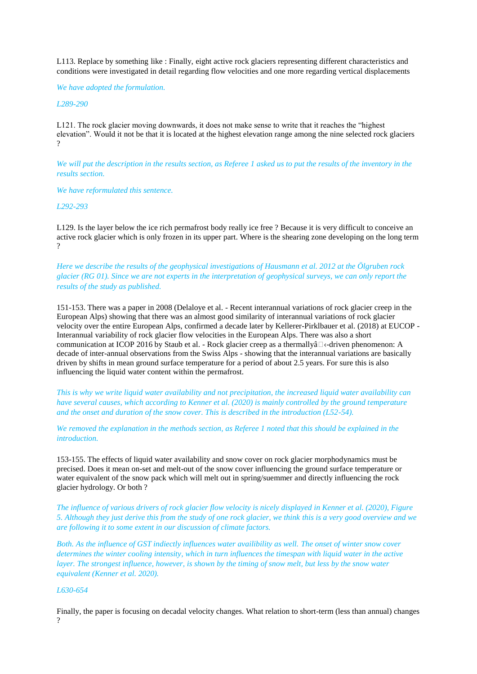L113. Replace by something like : Finally, eight active rock glaciers representing different characteristics and conditions were investigated in detail regarding flow velocities and one more regarding vertical displacements

*We have adopted the formulation.* 

*L289-290*

L121. The rock glacier moving downwards, it does not make sense to write that it reaches the "highest elevation". Would it not be that it is located at the highest elevation range among the nine selected rock glaciers  $\mathcal{D}$ 

*We will put the description in the results section, as Referee 1 asked us to put the results of the inventory in the results section.* 

*We have reformulated this sentence.* 

*L292-293*

L129. Is the layer below the ice rich permafrost body really ice free ? Because it is very difficult to conceive an active rock glacier which is only frozen in its upper part. Where is the shearing zone developing on the long term  $\gamma$ 

*Here we describe the results of the geophysical investigations of Hausmann et al. 2012 at the Ölgruben rock glacier (RG 01). Since we are not experts in the interpretation of geophysical surveys, we can only report the results of the study as published.* 

151-153. There was a paper in 2008 (Delaloye et al. - Recent interannual variations of rock glacier creep in the European Alps) showing that there was an almost good similarity of interannual variations of rock glacier velocity over the entire European Alps, confirmed a decade later by Kellerer-Pirklbauer et al. (2018) at EUCOP - Interannual variability of rock glacier flow velocities in the European Alps. There was also a short communication at ICOP 2016 by Staub et al. - Rock glacier creep as a thermally $\hat{a} \Box \langle$ -driven phenomenon: A decade of inter-annual observations from the Swiss Alps - showing that the interannual variations are basically driven by shifts in mean ground surface temperature for a period of about 2.5 years. For sure this is also influencing the liquid water content within the permafrost.

*This is why we write liquid water availability and not precipitation, the increased liquid water availability can have several causes, which according to Kenner et al. (2020) is mainly controlled by the ground temperature and the onset and duration of the snow cover. This is described in the introduction (L52-54).* 

*We removed the explanation in the methods section, as Referee 1 noted that this should be explained in the introduction.* 

153-155. The effects of liquid water availability and snow cover on rock glacier morphodynamics must be precised. Does it mean on-set and melt-out of the snow cover influencing the ground surface temperature or water equivalent of the snow pack which will melt out in spring/suemmer and directly influencing the rock glacier hydrology. Or both ?

*The influence of various drivers of rock glacier flow velocity is nicely displayed in Kenner et al. (2020), Figure 5. Although they just derive this from the study of one rock glacier, we think this is a very good overview and we are following it to some extent in our discussion of climate factors.* 

*Both. As the influence of GST indiectly influences water availibility as well. The onset of winter snow cover determines the winter cooling intensity, which in turn influences the timespan with liquid water in the active layer. The strongest influence, however, is shown by the timing of snow melt, but less by the snow water equivalent (Kenner et al. 2020).* 

# *L630-654*

Finally, the paper is focusing on decadal velocity changes. What relation to short-term (less than annual) changes ?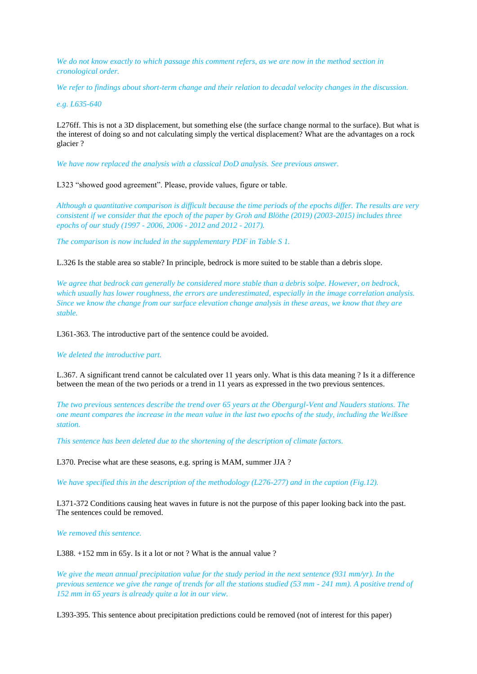*We do not know exactly to which passage this comment refers, as we are now in the method section in cronological order.* 

*We refer to findings about short-term change and their relation to decadal velocity changes in the discussion.* 

*e.g. L635-640*

L276ff. This is not a 3D displacement, but something else (the surface change normal to the surface). But what is the interest of doing so and not calculating simply the vertical displacement? What are the advantages on a rock glacier ?

*We have now replaced the analysis with a classical DoD analysis. See previous answer.* 

L323 "showed good agreement". Please, provide values, figure or table.

*Although a quantitative comparison is difficult because the time periods of the epochs differ. The results are very consistent if we consider that the epoch of the paper by Groh and Blöthe (2019) (2003-2015) includes three epochs of our study (1997 - 2006, 2006 - 2012 and 2012 - 2017).*

*The comparison is now included in the supplementary PDF in Table S 1.*

L.326 Is the stable area so stable? In principle, bedrock is more suited to be stable than a debris slope.

*We agree that bedrock can generally be considered more stable than a debris solpe. However, on bedrock, which usually has lower roughness, the errors are underestimated, especially in the image correlation analysis. Since we know the change from our surface elevation change analysis in these areas, we know that they are stable.* 

L361-363. The introductive part of the sentence could be avoided.

*We deleted the introductive part.* 

L.367. A significant trend cannot be calculated over 11 years only. What is this data meaning ? Is it a difference between the mean of the two periods or a trend in 11 years as expressed in the two previous sentences.

*The two previous sentences describe the trend over 65 years at the Obergurgl-Vent and Nauders stations. The one meant compares the increase in the mean value in the last two epochs of the study, including the Weißsee station.* 

*This sentence has been deleted due to the shortening of the description of climate factors.* 

L370. Precise what are these seasons, e.g. spring is MAM, summer JJA ?

*We have specified this in the description of the methodology (L276-277) and in the caption (Fig.12).* 

L371-372 Conditions causing heat waves in future is not the purpose of this paper looking back into the past. The sentences could be removed.

*We removed this sentence.*

L388. +152 mm in 65y. Is it a lot or not ? What is the annual value ?

*We give the mean annual precipitation value for the study period in the next sentence (931 mm/yr). In the previous sentence we give the range of trends for all the stations studied (53 mm - 241 mm). A positive trend of 152 mm in 65 years is already quite a lot in our view.* 

L393-395. This sentence about precipitation predictions could be removed (not of interest for this paper)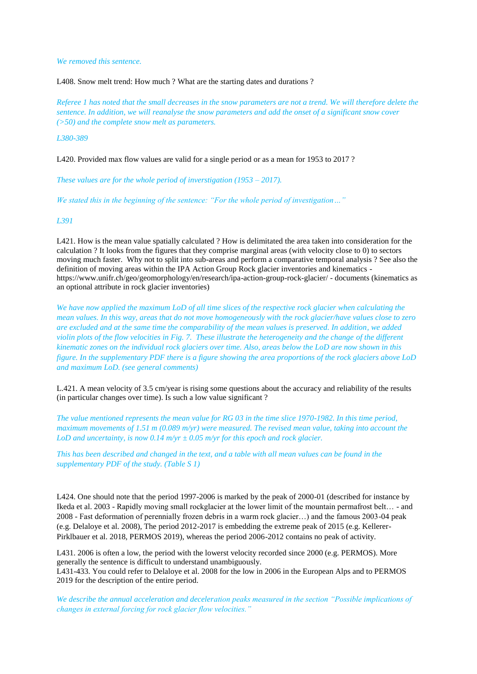### *We removed this sentence.*

L408. Snow melt trend: How much ? What are the starting dates and durations ?

*Referee 1 has noted that the small decreases in the snow parameters are not a trend. We will therefore delete the sentence. In addition, we will reanalyse the snow parameters and add the onset of a significant snow cover (>50) and the complete snow melt as parameters.* 

### *L380-389*

L420. Provided max flow values are valid for a single period or as a mean for 1953 to 2017?

*These values are for the whole period of inverstigation (1953 – 2017).* 

*We stated this in the beginning of the sentence: "For the whole period of investigation…"* 

### *L391*

L421. How is the mean value spatially calculated ? How is delimitated the area taken into consideration for the calculation ? It looks from the figures that they comprise marginal areas (with velocity close to 0) to sectors moving much faster. Why not to split into sub-areas and perform a comparative temporal analysis ? See also the definition of moving areas within the IPA Action Group Rock glacier inventories and kinematics https://www.unifr.ch/geo/geomorphology/en/research/ipa-action-group-rock-glacier/ - documents (kinematics as an optional attribute in rock glacier inventories)

*We have now applied the maximum LoD of all time slices of the respective rock glacier when calculating the mean values. In this way, areas that do not move homogeneously with the rock glacier/have values close to zero are excluded and at the same time the comparability of the mean values is preserved. In addition, we added violin plots of the flow velocities in Fig. 7. These illustrate the heterogeneity and the change of the different kinematic zones on the individual rock glaciers over time. Also, areas below the LoD are now shown in this figure. In the supplementary PDF there is a figure showing the area proportions of the rock glaciers above LoD and maximum LoD. (see general comments)*

L.421. A mean velocity of 3.5 cm/year is rising some questions about the accuracy and reliability of the results (in particular changes over time). Is such a low value significant ?

*The value mentioned represents the mean value for RG 03 in the time slice 1970-1982. In this time period, maximum movements of 1.51 m (0.089 m/yr) were measured. The revised mean value, taking into account the LoD and uncertainty, is now 0.14 m/yr ± 0.05 m/yr for this epoch and rock glacier.* 

*This has been described and changed in the text, and a table with all mean values can be found in the supplementary PDF of the study. (Table S 1)*

L424. One should note that the period 1997-2006 is marked by the peak of 2000-01 (described for instance by Ikeda et al. 2003 - Rapidly moving small rockglacier at the lower limit of the mountain permafrost belt… - and 2008 - Fast deformation of perennially frozen debris in a warm rock glacier…) and the famous 2003-04 peak (e.g. Delaloye et al. 2008), The period 2012-2017 is embedding the extreme peak of 2015 (e.g. Kellerer-Pirklbauer et al. 2018, PERMOS 2019), whereas the period 2006-2012 contains no peak of activity.

L431. 2006 is often a low, the period with the lowerst velocity recorded since 2000 (e.g. PERMOS). More generally the sentence is difficult to understand unambiguously. L431-433. You could refer to Delaloye et al. 2008 for the low in 2006 in the European Alps and to PERMOS 2019 for the description of the entire period.

*We describe the annual acceleration and deceleration peaks measured in the section "Possible implications of changes in external forcing for rock glacier flow velocities."*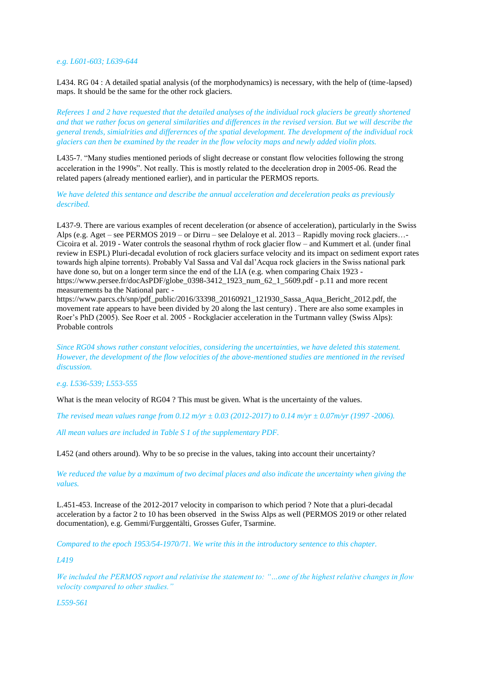### *e.g. L601-603; L639-644*

L434. RG 04 : A detailed spatial analysis (of the morphodynamics) is necessary, with the help of (time-lapsed) maps. It should be the same for the other rock glaciers.

*Referees 1 and 2 have requested that the detailed analyses of the individual rock glaciers be greatly shortened and that we rather focus on general similarities and differences in the revised version. But we will describe the general trends, simialrities and differernces of the spatial development. The development of the individual rock glaciers can then be examined by the reader in the flow velocity maps and newly added violin plots.* 

L435-7. "Many studies mentioned periods of slight decrease or constant flow velocities following the strong acceleration in the 1990s". Not really. This is mostly related to the deceleration drop in 2005-06. Read the related papers (already mentioned earlier), and in particular the PERMOS reports.

*We have deleted this sentance and describe the annual acceleration and deceleration peaks as previously described.* 

L437-9. There are various examples of recent deceleration (or absence of acceleration), particularly in the Swiss Alps (e.g. Aget – see PERMOS 2019 – or Dirru – see Delaloye et al. 2013 – Rapidly moving rock glaciers…- Cicoira et al. 2019 - Water controls the seasonal rhythm of rock glacier flow – and Kummert et al. (under final review in ESPL) Pluri-decadal evolution of rock glaciers surface velocity and its impact on sediment export rates towards high alpine torrents). Probably Val Sassa and Val dal'Acqua rock glaciers in the Swiss national park have done so, but on a longer term since the end of the LIA (e.g. when comparing Chaix 1923 https://www.persee.fr/docAsPDF/globe\_0398-3412\_1923\_num\_62\_1\_5609.pdf - p.11 and more recent measurements ba the National parc -

https://www.parcs.ch/snp/pdf\_public/2016/33398\_20160921\_121930\_Sassa\_Aqua\_Bericht\_2012.pdf, the movement rate appears to have been divided by 20 along the last century) . There are also some examples in Roer's PhD (2005). See Roer et al. 2005 - Rockglacier acceleration in the Turtmann valley (Swiss Alps): Probable controls

*Since RG04 shows rather constant velocities, considering the uncertainties, we have deleted this statement. However, the development of the flow velocities of the above-mentioned studies are mentioned in the revised discussion.* 

*e.g. L536-539; L553-555*

What is the mean velocity of RG04 ? This must be given. What is the uncertainty of the values.

*The revised mean values range from 0.12 m/yr ± 0.03 (2012-2017) to 0.14 m/yr ± 0.07m/yr (1997 -2006).* 

*All mean values are included in Table S 1 of the supplementary PDF.*

L452 (and others around). Why to be so precise in the values, taking into account their uncertainty?

*We reduced the value by a maximum of two decimal places and also indicate the uncertainty when giving the values.* 

L.451-453. Increase of the 2012-2017 velocity in comparison to which period ? Note that a pluri-decadal acceleration by a factor 2 to 10 has been observed in the Swiss Alps as well (PERMOS 2019 or other related documentation), e.g. Gemmi/Furggentälti, Grosses Gufer, Tsarmine.

*Compared to the epoch 1953/54-1970/71. We write this in the introductory sentence to this chapter.* 

*L419*

*We included the PERMOS report and relativise the statement to: "…one of the highest relative changes in flow velocity compared to other studies."* 

*L559-561*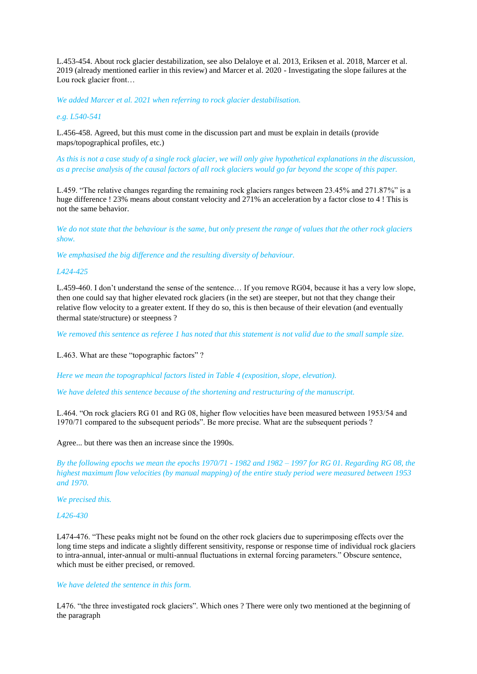L.453-454. About rock glacier destabilization, see also Delaloye et al. 2013, Eriksen et al. 2018, Marcer et al. 2019 (already mentioned earlier in this review) and Marcer et al. 2020 - Investigating the slope failures at the Lou rock glacier front…

*We added Marcer et al. 2021 when referring to rock glacier destabilisation.* 

### *e.g. L540-541*

L.456-458. Agreed, but this must come in the discussion part and must be explain in details (provide maps/topographical profiles, etc.)

*As this is not a case study of a single rock glacier, we will only give hypothetical explanations in the discussion, as a precise analysis of the causal factors of all rock glaciers would go far beyond the scope of this paper.* 

L.459. "The relative changes regarding the remaining rock glaciers ranges between 23.45% and 271.87%" is a huge difference ! 23% means about constant velocity and 271% an acceleration by a factor close to 4 ! This is not the same behavior.

*We do not state that the behaviour is the same, but only present the range of values that the other rock glaciers show.* 

*We emphasised the big difference and the resulting diversity of behaviour.* 

# *L424-425*

L.459-460. I don't understand the sense of the sentence… If you remove RG04, because it has a very low slope, then one could say that higher elevated rock glaciers (in the set) are steeper, but not that they change their relative flow velocity to a greater extent. If they do so, this is then because of their elevation (and eventually thermal state/structure) or steepness ?

*We removed this sentence as referee 1 has noted that this statement is not valid due to the small sample size.* 

L.463. What are these "topographic factors" ?

*Here we mean the topographical factors listed in Table 4 (exposition, slope, elevation).* 

*We have deleted this sentence because of the shortening and restructuring of the manuscript.* 

L.464. "On rock glaciers RG 01 and RG 08, higher flow velocities have been measured between 1953/54 and 1970/71 compared to the subsequent periods". Be more precise. What are the subsequent periods ?

Agree... but there was then an increase since the 1990s.

*By the following epochs we mean the epochs 1970/71 - 1982 and 1982 – 1997 for RG 01. Regarding RG 08, the highest maximum flow velocities (by manual mapping) of the entire study period were measured between 1953 and 1970.* 

*We precised this.* 

### *L426-430*

L474-476. "These peaks might not be found on the other rock glaciers due to superimposing effects over the long time steps and indicate a slightly different sensitivity, response or response time of individual rock glaciers to intra-annual, inter-annual or multi-annual fluctuations in external forcing parameters." Obscure sentence, which must be either precised, or removed.

# *We have deleted the sentence in this form.*

L476. "the three investigated rock glaciers". Which ones ? There were only two mentioned at the beginning of the paragraph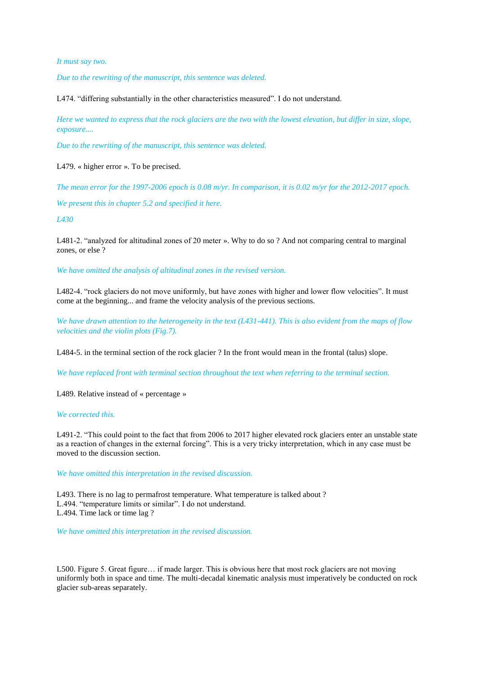### *It must say two.*

*Due to the rewriting of the manuscript, this sentence was deleted.*

L474. "differing substantially in the other characteristics measured". I do not understand.

*Here we wanted to express that the rock glaciers are the two with the lowest elevation, but differ in size, slope, exposure....* 

*Due to the rewriting of the manuscript, this sentence was deleted.*

L479. « higher error ». To be precised.

*The mean error for the 1997-2006 epoch is 0.08 m/yr. In comparison, it is 0.02 m/yr for the 2012-2017 epoch.* 

*We present this in chapter 5.2 and specified it here.*

*L430* 

L481-2. "analyzed for altitudinal zones of 20 meter ». Why to do so ? And not comparing central to marginal zones, or else ?

*We have omitted the analysis of altitudinal zones in the revised version.* 

L482-4. "rock glaciers do not move uniformly, but have zones with higher and lower flow velocities". It must come at the beginning... and frame the velocity analysis of the previous sections.

*We have drawn attention to the heterogeneity in the text (L431-441). This is also evident from the maps of flow velocities and the violin plots (Fig.7).* 

L484-5. in the terminal section of the rock glacier ? In the front would mean in the frontal (talus) slope.

*We have replaced front with terminal section throughout the text when referring to the terminal section.* 

L489. Relative instead of « percentage »

#### *We corrected this.*

L491-2. "This could point to the fact that from 2006 to 2017 higher elevated rock glaciers enter an unstable state as a reaction of changes in the external forcing". This is a very tricky interpretation, which in any case must be moved to the discussion section.

*We have omitted this interpretation in the revised discussion.* 

L493. There is no lag to permafrost temperature. What temperature is talked about ? L.494. "temperature limits or similar". I do not understand. L.494. Time lack or time lag ?

*We have omitted this interpretation in the revised discussion.* 

L500. Figure 5. Great figure… if made larger. This is obvious here that most rock glaciers are not moving uniformly both in space and time. The multi-decadal kinematic analysis must imperatively be conducted on rock glacier sub-areas separately.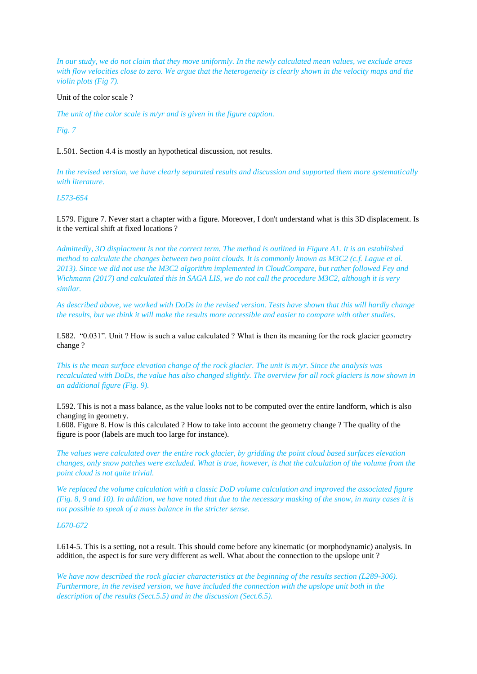*In our study, we do not claim that they move uniformly. In the newly calculated mean values, we exclude areas with flow velocities close to zero. We argue that the heterogeneity is clearly shown in the velocity maps and the violin plots (Fig 7).* 

### Unit of the color scale ?

*The unit of the color scale is m/yr and is given in the figure caption.*

*Fig. 7*

L.501. Section 4.4 is mostly an hypothetical discussion, not results.

*In the revised version, we have clearly separated results and discussion and supported them more systematically with literature.* 

# *L573-654*

L579. Figure 7. Never start a chapter with a figure. Moreover, I don't understand what is this 3D displacement. Is it the vertical shift at fixed locations ?

*Admittedly, 3D displacment is not the correct term. The method is outlined in Figure A1. It is an established method to calculate the changes between two point clouds. It is commonly known as M3C2 (c.f. Lague et al. 2013). Since we did not use the M3C2 algorithm implemented in CloudCompare, but rather followed Fey and Wichmann (2017) and calculated this in SAGA LIS, we do not call the procedure M3C2, although it is very similar.* 

*As described above, we worked with DoDs in the revised version. Tests have shown that this will hardly change the results, but we think it will make the results more accessible and easier to compare with other studies.* 

L582. "0.031". Unit ? How is such a value calculated ? What is then its meaning for the rock glacier geometry change ?

*This is the mean surface elevation change of the rock glacier. The unit is m/yr. Since the analysis was recalculated with DoDs, the value has also changed slightly. The overview for all rock glaciers is now shown in an additional figure (Fig. 9).* 

L592. This is not a mass balance, as the value looks not to be computed over the entire landform, which is also changing in geometry.

L608. Figure 8. How is this calculated ? How to take into account the geometry change ? The quality of the figure is poor (labels are much too large for instance).

*The values were calculated over the entire rock glacier, by gridding the point cloud based surfaces elevation changes, only snow patches were excluded. What is true, however, is that the calculation of the volume from the point cloud is not quite trivial.* 

*We replaced the volume calculation with a classic DoD volume calculation and improved the associated figure (Fig. 8, 9 and 10). In addition, we have noted that due to the necessary masking of the snow, in many cases it is not possible to speak of a mass balance in the stricter sense.* 

### *L670-672*

L614-5. This is a setting, not a result. This should come before any kinematic (or morphodynamic) analysis. In addition, the aspect is for sure very different as well. What about the connection to the upslope unit ?

*We have now described the rock glacier characteristics at the beginning of the results section (L289-306). Furthermore, in the revised version, we have included the connection with the upslope unit both in the description of the results (Sect.5.5) and in the discussion (Sect.6.5).*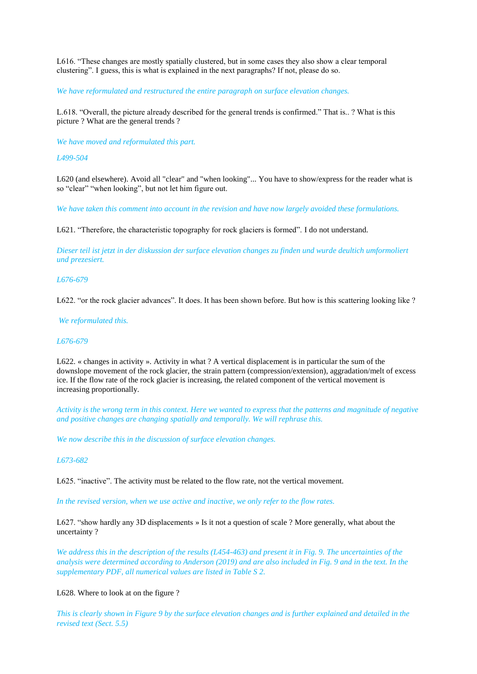L616. "These changes are mostly spatially clustered, but in some cases they also show a clear temporal clustering". I guess, this is what is explained in the next paragraphs? If not, please do so.

*We have reformulated and restructured the entire paragraph on surface elevation changes.* 

L.618. "Overall, the picture already described for the general trends is confirmed." That is.. ? What is this picture ? What are the general trends ?

*We have moved and reformulated this part.* 

*L499-504*

L620 (and elsewhere). Avoid all "clear" and "when looking"... You have to show/express for the reader what is so "clear" "when looking", but not let him figure out.

*We have taken this comment into account in the revision and have now largely avoided these formulations.* 

L621. "Therefore, the characteristic topography for rock glaciers is formed". I do not understand.

*Dieser teil ist jetzt in der diskussion der surface elevation changes zu finden und wurde deultich umformoliert und prezesiert.* 

### *L676-679*

L622. "or the rock glacier advances". It does. It has been shown before. But how is this scattering looking like ?

*We reformulated this.* 

### *L676-679*

L622. « changes in activity ». Activity in what ? A vertical displacement is in particular the sum of the downslope movement of the rock glacier, the strain pattern (compression/extension), aggradation/melt of excess ice. If the flow rate of the rock glacier is increasing, the related component of the vertical movement is increasing proportionally.

*Activity is the wrong term in this context. Here we wanted to express that the patterns and magnitude of negative and positive changes are changing spatially and temporally. We will rephrase this.* 

*We now describe this in the discussion of surface elevation changes.* 

# *L673-682*

L625. "inactive". The activity must be related to the flow rate, not the vertical movement.

*In the revised version, when we use active and inactive, we only refer to the flow rates.*

L627. "show hardly any 3D displacements » Is it not a question of scale ? More generally, what about the uncertainty ?

*We address this in the description of the results (L454-463) and present it in Fig. 9. The uncertainties of the analysis were determined according to Anderson (2019) and are also included in Fig. 9 and in the text. In the supplementary PDF, all numerical values are listed in Table S 2.*

# L628. Where to look at on the figure ?

*This is clearly shown in Figure 9 by the surface elevation changes and is further explained and detailed in the revised text (Sect. 5.5)*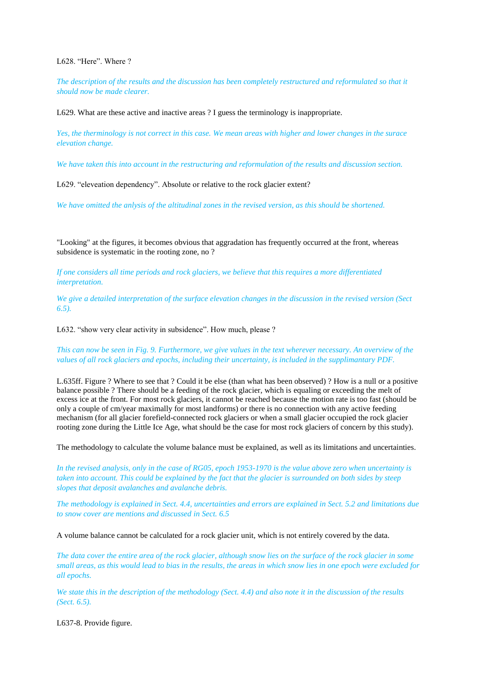L628 "Here". Where ?

*The description of the results and the discussion has been completely restructured and reformulated so that it should now be made clearer.* 

L629. What are these active and inactive areas ? I guess the terminology is inappropriate.

*Yes, the therminology is not correct in this case. We mean areas with higher and lower changes in the surace elevation change.* 

*We have taken this into account in the restructuring and reformulation of the results and discussion section.* 

L629. "eleveation dependency". Absolute or relative to the rock glacier extent?

*We have omitted the anlysis of the altitudinal zones in the revised version, as this should be shortened.* 

"Looking" at the figures, it becomes obvious that aggradation has frequently occurred at the front, whereas subsidence is systematic in the rooting zone, no ?

*If one considers all time periods and rock glaciers, we believe that this requires a more differentiated interpretation.* 

*We give a detailed interpretation of the surface elevation changes in the discussion in the revised version (Sect 6.5).*

L632. "show very clear activity in subsidence". How much, please ?

*This can now be seen in Fig. 9. Furthermore, we give values in the text wherever necessary. An overview of the values of all rock glaciers and epochs, including their uncertainty, is included in the supplimantary PDF.* 

L.635ff. Figure ? Where to see that ? Could it be else (than what has been observed) ? How is a null or a positive balance possible ? There should be a feeding of the rock glacier, which is equaling or exceeding the melt of excess ice at the front. For most rock glaciers, it cannot be reached because the motion rate is too fast (should be only a couple of cm/year maximally for most landforms) or there is no connection with any active feeding mechanism (for all glacier forefield-connected rock glaciers or when a small glacier occupied the rock glacier rooting zone during the Little Ice Age, what should be the case for most rock glaciers of concern by this study).

The methodology to calculate the volume balance must be explained, as well as its limitations and uncertainties.

*In the revised analysis, only in the case of RG05, epoch 1953-1970 is the value above zero when uncertainty is taken into account. This could be explained by the fact that the glacier is surrounded on both sides by steep slopes that deposit avalanches and avalanche debris.* 

*The methodology is explained in Sect. 4.4, uncertainties and errors are explained in Sect. 5.2 and limitations due to snow cover are mentions and discussed in Sect. 6.5*

A volume balance cannot be calculated for a rock glacier unit, which is not entirely covered by the data.

*The data cover the entire area of the rock glacier, although snow lies on the surface of the rock glacier in some small areas, as this would lead to bias in the results, the areas in which snow lies in one epoch were excluded for all epochs.* 

*We state this in the description of the methodology (Sect. 4.4) and also note it in the discussion of the results (Sect. 6.5).* 

L637-8. Provide figure.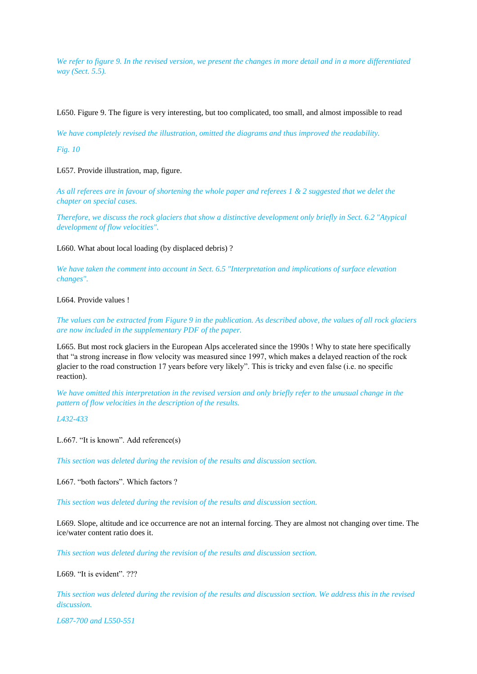*We refer to figure 9. In the revised version, we present the changes in more detail and in a more differentiated way (Sect. 5.5).*

L650. Figure 9. The figure is very interesting, but too complicated, too small, and almost impossible to read

*We have completely revised the illustration, omitted the diagrams and thus improved the readability.* 

*Fig. 10*

L657. Provide illustration, map, figure.

*As all referees are in favour of shortening the whole paper and referees 1 & 2 suggested that we delet the chapter on special cases.*

*Therefore, we discuss the rock glaciers that show a distinctive development only briefly in Sect. 6.2 "Atypical development of flow velocities".*

L660. What about local loading (by displaced debris) ?

*We have taken the comment into account in Sect. 6.5 "Interpretation and implications of surface elevation changes".* 

L664. Provide values !

*The values can be extracted from Figure 9 in the publication. As described above, the values of all rock glaciers are now included in the supplementary PDF of the paper.* 

L665. But most rock glaciers in the European Alps accelerated since the 1990s ! Why to state here specifically that "a strong increase in flow velocity was measured since 1997, which makes a delayed reaction of the rock glacier to the road construction 17 years before very likely". This is tricky and even false (i.e. no specific reaction).

*We have omitted this interpretation in the revised version and only briefly refer to the unusual change in the pattern of flow velocities in the description of the results.* 

*L432-433*

L.667. "It is known". Add reference(s)

*This section was deleted during the revision of the results and discussion section.* 

L667. "both factors". Which factors ?

*This section was deleted during the revision of the results and discussion section.* 

L669. Slope, altitude and ice occurrence are not an internal forcing. They are almost not changing over time. The ice/water content ratio does it.

*This section was deleted during the revision of the results and discussion section.* 

L669. "It is evident". ???

*This section was deleted during the revision of the results and discussion section. We address this in the revised discussion.* 

*L687-700 and L550-551*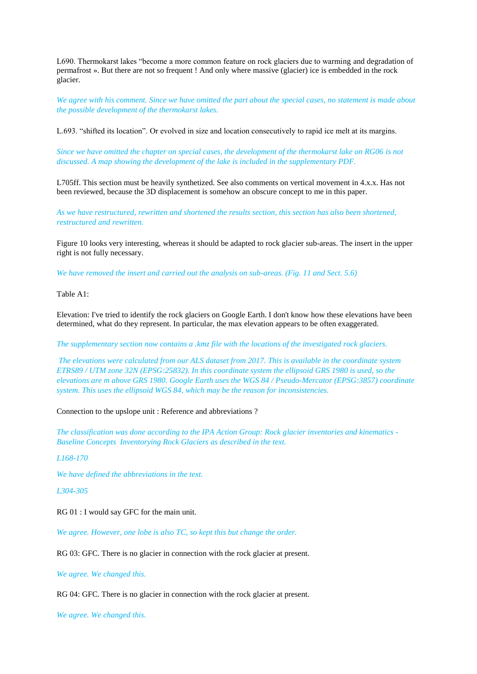L690. Thermokarst lakes "become a more common feature on rock glaciers due to warming and degradation of permafrost ». But there are not so frequent ! And only where massive (glacier) ice is embedded in the rock glacier.

*We agree with his comment. Since we have omitted the part about the special cases, no statement is made about the possible development of the thermokarst lakes.* 

L.693. "shifted its location". Or evolved in size and location consecutively to rapid ice melt at its margins.

*Since we have omitted the chapter on special cases, the development of the thermokarst lake on RG06 is not discussed. A map showing the development of the lake is included in the supplementary PDF.* 

L705ff. This section must be heavily synthetized. See also comments on vertical movement in 4.x.x. Has not been reviewed, because the 3D displacement is somehow an obscure concept to me in this paper.

*As we have restructured, rewritten and shortened the results section, this section has also been shortened, restructured and rewritten.* 

Figure 10 looks very interesting, whereas it should be adapted to rock glacier sub-areas. The insert in the upper right is not fully necessary.

*We have removed the insert and carried out the analysis on sub-areas. (Fig. 11 and Sect. 5.6)*

Table A1:

Elevation: I've tried to identify the rock glaciers on Google Earth. I don't know how these elevations have been determined, what do they represent. In particular, the max elevation appears to be often exaggerated.

*The supplementary section now contains a .kmz file with the locations of the investigated rock glaciers.* 

*The elevations were calculated from our ALS dataset from 2017. This is available in the coordinate system ETRS89 / UTM zone 32N (EPSG:25832). In this coordinate system the ellipsoid GRS 1980 is used, so the elevations are m above GRS 1980. Google Earth uses the WGS 84 / Pseudo-Mercator (EPSG:3857) coordinate system. This uses the ellipsoid WGS 84, which may be the reason for inconsistencies.* 

Connection to the upslope unit : Reference and abbreviations ?

*The classification was done according to the IPA Action Group: Rock glacier inventories and kinematics - Baseline Concepts Inventorying Rock Glaciers as described in the text.* 

### *L168-170*

*We have defined the abbreviations in the text.* 

# *L304-305*

RG 01 : I would say GFC for the main unit.

*We agree. However, one lobe is also TC, so kept this but change the order.* 

RG 03: GFC. There is no glacier in connection with the rock glacier at present.

*We agree. We changed this.* 

RG 04: GFC. There is no glacier in connection with the rock glacier at present.

*We agree. We changed this.*